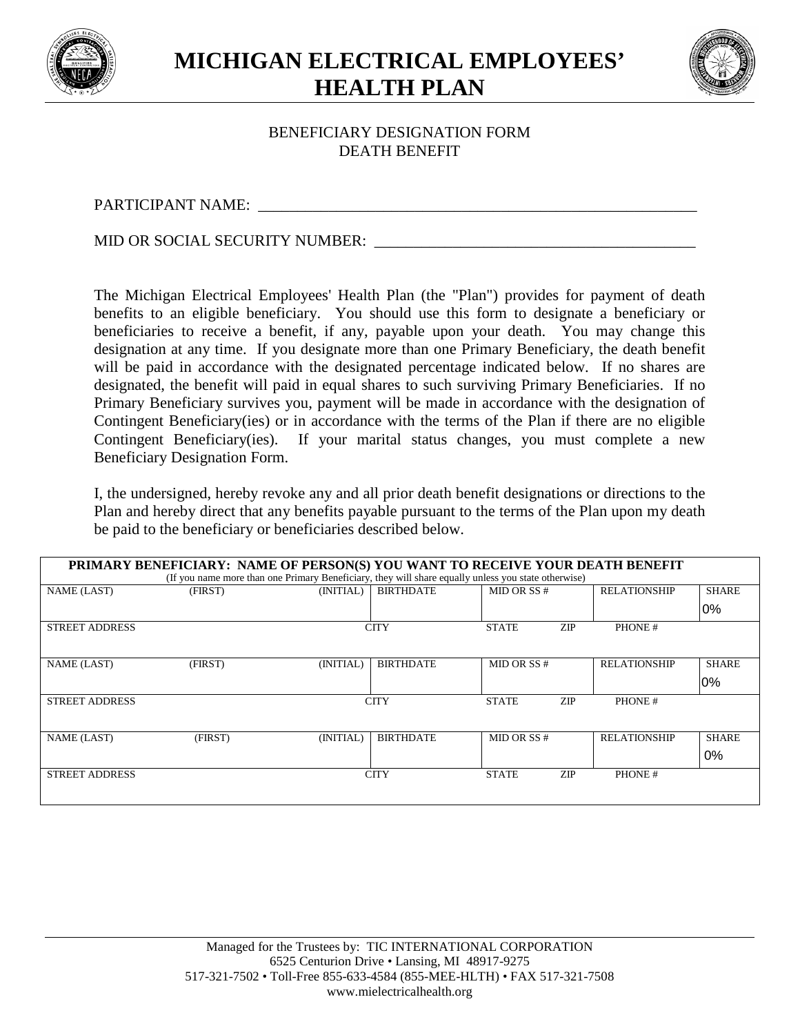

**MICHIGAN ELECTRICAL EMPLOYEES' HEALTH PLAN**



## BENEFICIARY DESIGNATION FORM DEATH BENEFIT

PARTICIPANT NAME: \_\_\_\_\_\_\_\_\_\_\_\_\_\_\_\_\_\_\_\_\_\_\_\_\_\_\_\_\_\_\_\_\_\_\_\_\_\_\_\_\_\_\_\_\_\_\_\_\_\_\_\_\_\_\_\_

MID OR SOCIAL SECURITY NUMBER: \_\_\_\_\_\_\_\_\_\_\_\_\_\_\_\_\_\_\_\_\_\_\_\_\_\_\_\_\_\_\_\_\_\_\_\_\_\_\_\_\_

The Michigan Electrical Employees' Health Plan (the "Plan") provides for payment of death benefits to an eligible beneficiary. You should use this form to designate a beneficiary or beneficiaries to receive a benefit, if any, payable upon your death. You may change this designation at any time. If you designate more than one Primary Beneficiary, the death benefit will be paid in accordance with the designated percentage indicated below. If no shares are designated, the benefit will paid in equal shares to such surviving Primary Beneficiaries. If no Primary Beneficiary survives you, payment will be made in accordance with the designation of Contingent Beneficiary(ies) or in accordance with the terms of the Plan if there are no eligible Contingent Beneficiary(ies). If your marital status changes, you must complete a new Beneficiary Designation Form.

I, the undersigned, hereby revoke any and all prior death benefit designations or directions to the Plan and hereby direct that any benefits payable pursuant to the terms of the Plan upon my death be paid to the beneficiary or beneficiaries described below.

| PRIMARY BENEFICIARY: NAME OF PERSON(S) YOU WANT TO RECEIVE YOUR DEATH BENEFIT<br>(If you name more than one Primary Beneficiary, they will share equally unless you state otherwise) |         |             |                  |               |            |                     |              |  |  |  |  |  |
|--------------------------------------------------------------------------------------------------------------------------------------------------------------------------------------|---------|-------------|------------------|---------------|------------|---------------------|--------------|--|--|--|--|--|
| <b>NAME (LAST)</b>                                                                                                                                                                   | (FIRST) | (INITIAL)   | <b>BIRTHDATE</b> | MD OR SS#     |            | <b>RELATIONSHIP</b> | <b>SHARE</b> |  |  |  |  |  |
|                                                                                                                                                                                      |         |             |                  |               |            |                     | $0\%$        |  |  |  |  |  |
| <b>STREET ADDRESS</b>                                                                                                                                                                |         | <b>CITY</b> |                  | <b>STATE</b>  | <b>ZIP</b> | PHONE#              |              |  |  |  |  |  |
|                                                                                                                                                                                      |         |             |                  |               |            |                     |              |  |  |  |  |  |
| <b>NAME (LAST)</b>                                                                                                                                                                   | (FIRST) | (INITIAL)   | <b>BIRTHDATE</b> | MID OR SS $#$ |            | <b>RELATIONSHIP</b> | <b>SHARE</b> |  |  |  |  |  |
|                                                                                                                                                                                      |         |             |                  |               |            |                     | $0\%$        |  |  |  |  |  |
| <b>STREET ADDRESS</b>                                                                                                                                                                |         |             | <b>CITY</b>      |               | <b>ZIP</b> | PHONE#              |              |  |  |  |  |  |
|                                                                                                                                                                                      |         |             |                  |               |            |                     |              |  |  |  |  |  |
| <b>NAME (LAST)</b>                                                                                                                                                                   | (FIRST) | (INITIAL)   | <b>BIRTHDATE</b> | MID OR SS $#$ |            | <b>RELATIONSHIP</b> | <b>SHARE</b> |  |  |  |  |  |
|                                                                                                                                                                                      |         |             |                  |               |            |                     | 0%           |  |  |  |  |  |
| <b>STREET ADDRESS</b>                                                                                                                                                                |         |             | <b>CITY</b>      |               | ZIP        | PHONE#              |              |  |  |  |  |  |
|                                                                                                                                                                                      |         |             |                  |               |            |                     |              |  |  |  |  |  |